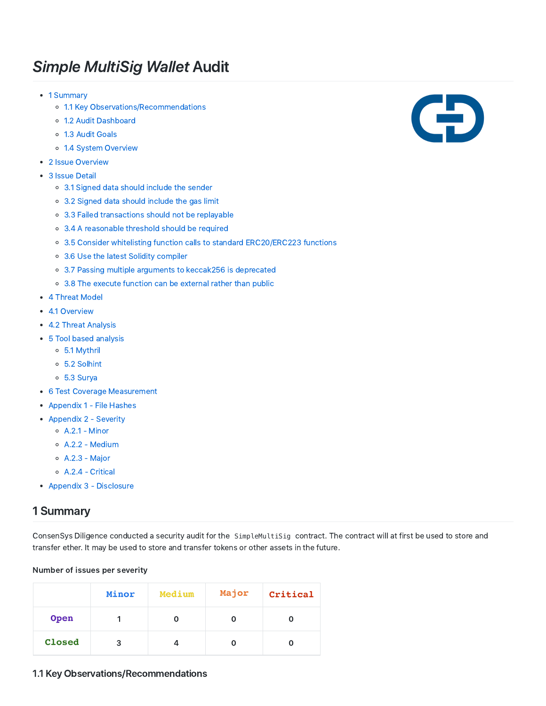# Simple MultiSig Wallet Audit

- 1 Summary
	- o 1.1 Key Observations/Recommendations
	- 1.2 Audit Dashboard
	- 1.3 Audit Goals
	- 1.4 System Overview
- 2 Issue Overview
- 3 Issue Detail
	- 3.1 Signed data should include the sender
	- 3.2 Signed data should include the gas limit
	- 3.3 Failed transactions should not be replayable
	- 3.4 A reasonable threshold should be required
	- 3.5 Consider whitelisting function calls to standard ERC20/ERC223 functions
	- 3.6 Use the latest Solidity compiler
	- 3.7 Passing multiple arguments to keccak256 is deprecated
	- 3.8 The execute function can be external rather than public
- 4 Threat Model
- 4.1 Overview
- 4.2 Threat Analysis
- 5 Tool based analysis
	- 5.1 Mythril
	- 5.2 Solhint
	- 5.3 Surya
- 6 Test Coverage Measurement
- Appendix 1 File Hashes
- Appendix 2 Severity
	- $O$  A.2.1 Minor
	- A.2.2 ‑ Medium
	- A.2.3 ‑ Major
	- A.2.4 ‑ Critical
- Appendix 3 Disclosure

## 1 Summary

ConsenSys Diligence conducted a security audit for the SimpleMultiSig contract. The contract will at first be used to store and transfer ether. It may be used to store and transfer tokens or other assets in the future.

#### Number of issues per severity

|        | Minor | Medium | Major | Critical |
|--------|-------|--------|-------|----------|
| Open   |       |        |       |          |
| Closed | 3     |        |       |          |



#### 1.1 Key Observations/Recommendations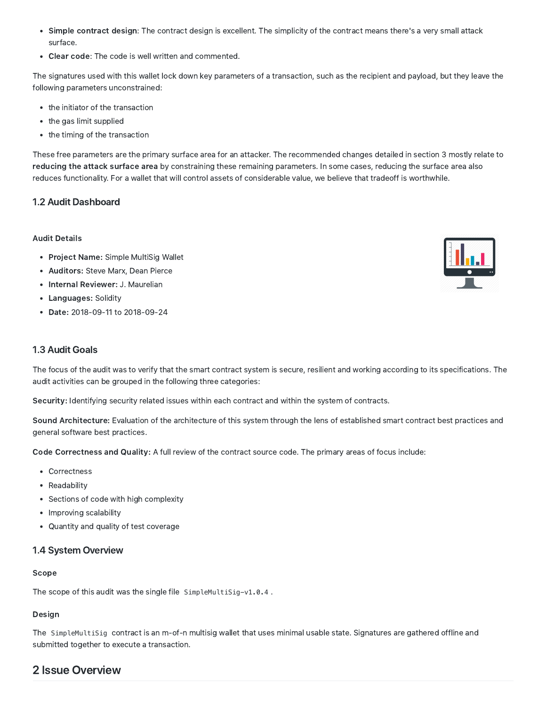- Simple contract design: The contract design is excellent. The simplicity of the contract means there's a very small attack surface.
- Clear code: The code is well written and commented.

The signatures used with this wallet lock down key parameters of a transaction, such as the recipient and payload, but they leave the following parameters unconstrained:

- the initiator of the transaction
- the gas limit supplied
- the timing of the transaction

These free parameters are the primary surface area for an attacker. The recommended changes detailed in section 3 mostly relate to reducing the attack surface area by constraining these remaining parameters. In some cases, reducing the surface area also reduces functionality. For a wallet that will control assets of considerable value, we believe that tradeoff is worthwhile.

### 1.2 Audit Dashboard

#### Audit Details

- Project Name: Simple MultiSig Wallet
- Auditors: Steve Marx, Dean Pierce
- Internal Reviewer: J. Maurelian
- Languages: Solidity
- Date: 2018-09-11 to 2018-09-24

#### 1.3 Audit Goals

The focus of the audit was to verify that the smart contract system is secure, resilient and working according to its specifications. The audit activities can be grouped in the following three categories:

Security: Identifying security related issues within each contract and within the system of contracts.

Sound Architecture: Evaluation of the architecture of this system through the lens of established smart contract best practices and general software best practices.

Code Correctness and Quality: A full review of the contract source code. The primary areas of focus include:

- Correctness
- Readability
- Sections of code with high complexity
- Improving scalability
- Quantity and quality of test coverage

#### 1.4 System Overview

#### Scope

The scope of this audit was the single file SimpleMultiSig-v1.0.4.

#### Design

The SimpleMultiSig contract is an m-of-n multisig wallet that uses minimal usable state. Signatures are gathered offline and submitted together to execute a transaction.

## 2 Issue Overview

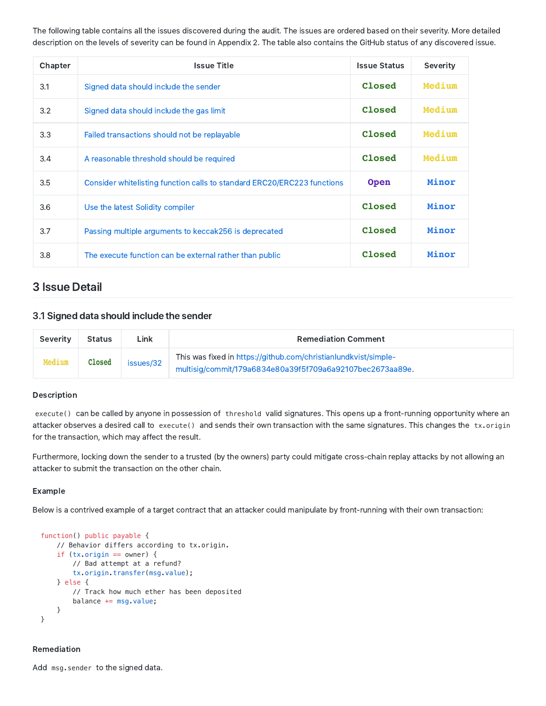The following table contains all the issues discovered during the audit. The issues are ordered based on their severity. More detailed description on the levels of severity can be found in Appendix 2. The table also contains the GitHub status of any discovered issue.

| Chapter | <b>Issue Title</b>                                                      | <b>Issue Status</b> | Severity |
|---------|-------------------------------------------------------------------------|---------------------|----------|
| 3.1     | Signed data should include the sender                                   | Closed              | Medium   |
| 3.2     | Signed data should include the gas limit                                | Closed              | Medium   |
| 3.3     | Failed transactions should not be replayable                            | Closed              | Medium   |
| 3.4     | A reasonable threshold should be required                               | Closed              | Medium   |
| 3.5     | Consider whitelisting function calls to standard ERC20/ERC223 functions | <b>Open</b>         | Minor    |
| 3.6     | Use the latest Solidity compiler                                        | Closed              | Minor    |
| 3.7     | Passing multiple arguments to keccak256 is deprecated                   | Closed              | Minor    |
| 3.8     | The execute function can be external rather than public                 | Closed              | Minor    |

## 3 Issue Detail

#### 3.1 Signed data should include the sender

| Severity      | <b>Status</b> | Link      | <b>Remediation Comment</b>                                                                                                   |
|---------------|---------------|-----------|------------------------------------------------------------------------------------------------------------------------------|
| <b>Medium</b> | Closed        | issues/32 | This was fixed in https://github.com/christianlundkvist/simple-<br>multisig/commit/179a6834e80a39f5f709a6a92107bec2673aa89e. |

#### Description

execute() can be called by anyone in possession of threshold valid signatures. This opens up a front-running opportunity where an attacker observes a desired call to execute() and sends their own transaction with the same signatures. This changes the tx.origin for the transaction, which may affect the result.

Furthermore, locking down the sender to a trusted (by the owners) party could mitigate cross‑chain replay attacks by not allowing an attacker to submit the transaction on the other chain.

#### Example

Below is a contrived example of a target contract that an attacker could manipulate by front-running with their own transaction:

```
function() public payable {
    // Behavior differs according to tx.origin.
    if (tx.origin == owner) {
        // Bad attempt at a refund?
        tx.origin.transfer(msg.value);
    } else {
        // Track how much ether has been deposited
        balance += msg.value;
    }
}
```
#### Remediation

Add msg.sender to the signed data.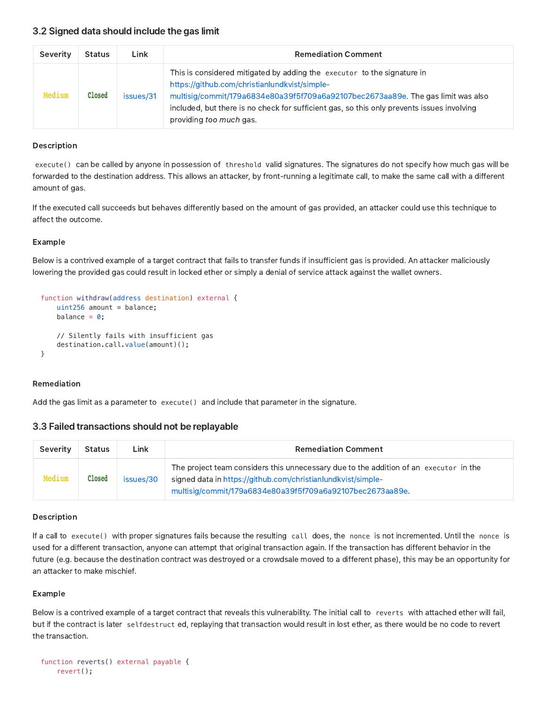| Severity | <b>Status</b> | Link      | <b>Remediation Comment</b>                                                                                                                                                                                                                                                                                                            |
|----------|---------------|-----------|---------------------------------------------------------------------------------------------------------------------------------------------------------------------------------------------------------------------------------------------------------------------------------------------------------------------------------------|
| Medium   | Closed        | issues/31 | This is considered mitigated by adding the executor to the signature in<br>https://github.com/christianlundkvist/simple-<br>multisig/commit/179a6834e80a39f5f709a6a92107bec2673aa89e. The gas limit was also<br>included, but there is no check for sufficient gas, so this only prevents issues involving<br>providing too much gas. |

#### Description

execute() can be called by anyone in possession of threshold valid signatures. The signatures do not specify how much gas will be forwarded to the destination address. This allows an attacker, by front-running a legitimate call, to make the same call with a different amount of gas.

If the executed call succeeds but behaves differently based on the amount of gas provided, an attacker could use this technique to affect the outcome.

#### Example

Below is a contrived example of a target contract that fails to transfer funds if insufficient gas is provided. An attacker maliciously lowering the provided gas could result in locked ether or simply a denial of service attack against the wallet owners.

```
function withdraw(address destination) external {
    uint256 amount = balance;
    balance = \theta;
    // Silently fails with insufficient gas
    destination.call.value(amount)();
}
```
#### Remediation

Add the gas limit as a parameter to execute() and include that parameter in the signature.

#### 3.3 Failed transactions should not be replayable

| Severity | <b>Status</b>   | Link      | <b>Remediation Comment</b>                                                                                                                                                                                         |
|----------|-----------------|-----------|--------------------------------------------------------------------------------------------------------------------------------------------------------------------------------------------------------------------|
| Medium   | $\verb ? $ osed | issues/30 | The project team considers this unnecessary due to the addition of an executor in the<br>signed data in https://github.com/christianlundkvist/simple-<br>multisig/commit/179a6834e80a39f5f709a6a92107bec2673aa89e. |

#### Description

If a call to execute() with proper signatures fails because the resulting call does, the nonce is not incremented. Until the nonce is used for a different transaction, anyone can attempt that original transaction again. If the transaction has different behavior in the future (e.g. because the destination contract was destroyed or a crowdsale moved to a different phase), this may be an opportunity for an attacker to make mischief.

#### Example

Below is a contrived example of a target contract that reveals this vulnerability. The initial call to reverts with attached ether will fail, but if the contract is later selfdestruct ed, replaying that transaction would result in lost ether, as there would be no code to revert the transaction.

```
function reverts() external payable {
    revert();
```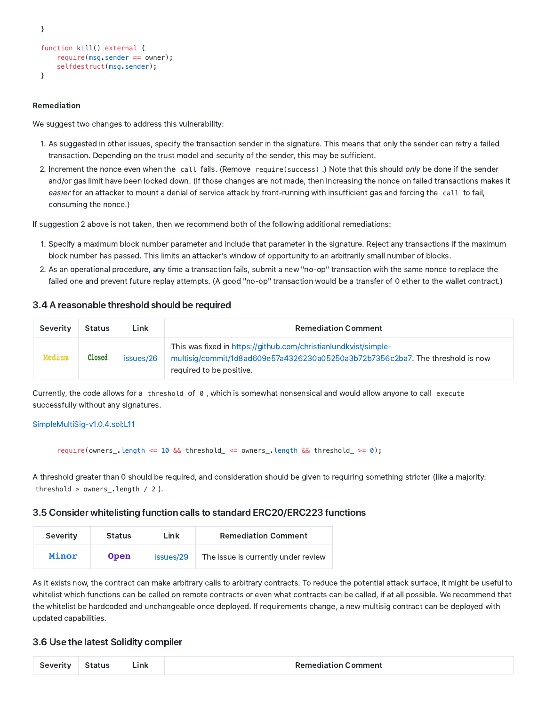```
}
function kill() external {
   require(msg.sender == owner);selfdestruct(msg.sender);
}
```
#### Remediation

We suggest two changes to address this vulnerability:

- 1. As suggested in other issues, specify the transaction sender in the signature. This means that only the sender can retry a failed transaction. Depending on the trust model and security of the sender, this may be sufficient.
- 2. Increment the nonce even when the call fails. (Remove require(success).) Note that this should only be done if the sender and/or gas limit have been locked down. (If those changes are not made, then increasing the nonce on failed transactions makes it easier for an attacker to mount a denial of service attack by front-running with insufficient gas and forcing the call to fail, consuming the nonce.)

If suggestion 2 above is not taken, then we recommend both of the following additional remediations:

- 1. Specify a maximum block number parameter and include that parameter in the signature. Reject any transactions if the maximum block number has passed. This limits an attacker's window of opportunity to an arbitrarily small number of blocks.
- 2. As an operational procedure, any time a transaction fails, submit a new "no‑op" transaction with the same nonce to replace the failed one and prevent future replay attempts. (A good "no-op" transaction would be a transfer of 0 ether to the wallet contract.)

#### 3.4 A reasonable threshold should be required

| Severity | <b>Status</b> | <b>Link</b> | <b>Remediation Comment</b>                                                                                                                                                    |
|----------|---------------|-------------|-------------------------------------------------------------------------------------------------------------------------------------------------------------------------------|
| Medium   | Closed        | issues/26   | This was fixed in https://github.com/christianlundkvist/simple-<br>multisig/commit/1d8ad609e57a4326230a05250a3b72b7356c2ba7. The threshold is now<br>required to be positive. |

Currently, the code allows for a threshold of 0 , which is somewhat nonsensical and would allow anyone to call execute successfully without any signatures.

#### [SimpleMultiSig‑v1.0.4.sol:L11](https://github.com/ConsenSys/lmax_multisig_audit_2018-09-11/blob/master/SimpleMultiSig-v1.0.4.sol#L12)

require(owners\_.length <= 10 && threshold\_ <= owners\_.length && threshold\_ >= 0);

A threshold greater than 0 should be required, and consideration should be given to requiring something stricter (like a majority: threshold > owners\_.length / 2 ).

#### 3.5 Consider whitelisting function calls to standard ERC20/ERC223 functions

| Severity | <b>Status</b> | Link      | <b>Remediation Comment</b>          |
|----------|---------------|-----------|-------------------------------------|
| Minor    | <b>Open</b>   | issues/29 | The issue is currently under review |

As it exists now, the contract can make arbitrary calls to arbitrary contracts. To reduce the potential attack surface, it might be useful to whitelist which functions can be called on remote contracts or even what contracts can be called, if at all possible. We recommend that the whitelist be hardcoded and unchangeable once deployed. If requirements change, a new multisig contract can be deployed with updated capabilities.

#### 3.6 Use the latest Solidity compiler

| Severity | ہtatus | _ink | <b>Remediation Comment</b> |
|----------|--------|------|----------------------------|
|----------|--------|------|----------------------------|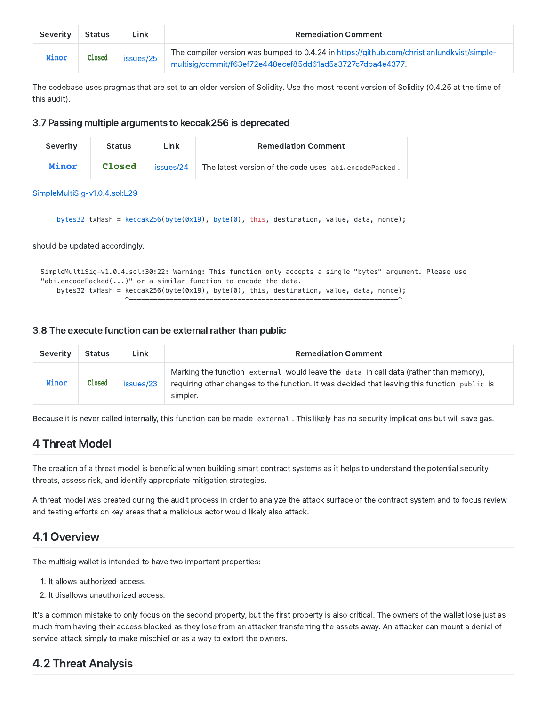| Severity | <b>Status</b> | Link      | <b>Remediation Comment</b>                                                                                                                              |
|----------|---------------|-----------|---------------------------------------------------------------------------------------------------------------------------------------------------------|
| Minor    | Closed        | issues/25 | The compiler version was bumped to 0.4.24 in https://github.com/christianlundkvist/simple-<br>multisig/commit/f63ef72e448ecef85dd61ad5a3727c7dba4e4377. |

The codebase uses pragmas that are set to an older version of Solidity. Use the most recent version of Solidity (0.4.25 at the time of this audit).

#### 3.7 Passing multiple arguments to keccak256 is deprecated

| Severity | <b>Status</b> | Link      | <b>Remediation Comment</b>                            |
|----------|---------------|-----------|-------------------------------------------------------|
| Minor    | <b>Closed</b> | issues/24 | The latest version of the code uses abi.encodePacked. |

SimpleMultiSig-v1.0.4.sol:L29

```
bytes32 txHash = keccak256(byte(0x19), byte(0), this, destination, value, data, nonce);
```
should be updated accordingly.

```
SimpleMultiSig-v1.0.4.sol:30:22: Warning: This function only accepts a single "bytes" argument. Please use
"abi.encodePacked(...)" or a similar function to encode the data.
    bytes32 txHash = keccak256(byte(0x19), byte(0), this, destination, value, data, nonce);
                     ^-------------------------------------------------------------------^
```
#### 3.8 The execute function can be external rather than public

| Severity | <b>Status</b> | Link      | <b>Remediation Comment</b>                                                                                                                                                                        |
|----------|---------------|-----------|---------------------------------------------------------------------------------------------------------------------------------------------------------------------------------------------------|
| Minor    | Closed        | issues/23 | Marking the function external would leave the data in call data (rather than memory),<br>requiring other changes to the function. It was decided that leaving this function public is<br>simpler. |

Because it is never called internally, this function can be made external . This likely has no security implications but will save gas.

## 4 Threat Model

The creation of a threat model is beneficial when building smart contract systems as it helps to understand the potential security threats, assess risk, and identify appropriate mitigation strategies.

A threat model was created during the audit process in order to analyze the attack surface of the contract system and to focus review and testing efforts on key areas that a malicious actor would likely also attack.

## 4.1 Overview

The multisig wallet is intended to have two important properties:

- 1. It allows authorized access.
- 2. It disallows unauthorized access.

It's a common mistake to only focus on the second property, but the first property is also critical. The owners of the wallet lose just as much from having their access blocked as they lose from an attacker transferring the assets away. An attacker can mount a denial of service attack simply to make mischief or as a way to extort the owners.

## 4.2 Threat Analysis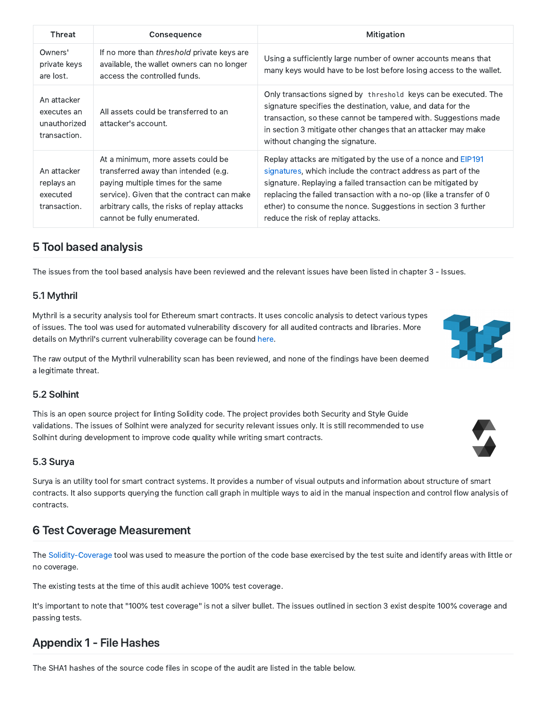| Threat                                                     | Consequence                                                                                                                                                                                                                                   | Mitigation                                                                                                                                                                                                                                                                                                                                                                    |
|------------------------------------------------------------|-----------------------------------------------------------------------------------------------------------------------------------------------------------------------------------------------------------------------------------------------|-------------------------------------------------------------------------------------------------------------------------------------------------------------------------------------------------------------------------------------------------------------------------------------------------------------------------------------------------------------------------------|
| Owners'<br>private keys<br>are lost.                       | If no more than threshold private keys are<br>available, the wallet owners can no longer<br>access the controlled funds.                                                                                                                      | Using a sufficiently large number of owner accounts means that<br>many keys would have to be lost before losing access to the wallet.                                                                                                                                                                                                                                         |
| An attacker<br>executes an<br>unauthorized<br>transaction. | All assets could be transferred to an<br>attacker's account.                                                                                                                                                                                  | Only transactions signed by threshold keys can be executed. The<br>signature specifies the destination, value, and data for the<br>transaction, so these cannot be tampered with. Suggestions made<br>in section 3 mitigate other changes that an attacker may make<br>without changing the signature.                                                                        |
| An attacker<br>replays an<br>executed<br>transaction.      | At a minimum, more assets could be<br>transferred away than intended (e.g.<br>paying multiple times for the same<br>service). Given that the contract can make<br>arbitrary calls, the risks of replay attacks<br>cannot be fully enumerated. | Replay attacks are mitigated by the use of a nonce and EIP191<br>signatures, which include the contract address as part of the<br>signature. Replaying a failed transaction can be mitigated by<br>replacing the failed transaction with a no-op (like a transfer of 0<br>ether) to consume the nonce. Suggestions in section 3 further<br>reduce the risk of replay attacks. |

## 5 Tool based analysis

The issues from the tool based analysis have been reviewed and the relevant issues have been listed in chapter 3 ‑ Issues.

### 5.1 Mythril

Mythril is a security analysis tool for Ethereum smart contracts. It uses concolic analysis to detect various types of issues. The tool was used for automated vulnerability discovery for all audited contracts and libraries. More details on Mythril's current vulnerability coverage can be found [here](https://github.com/ConsenSys/mythril/wiki).

The raw output of the Mythril vulnerability scan has been reviewed, and none of the findings have been deemed a legitimate threat.

### 5.2 Solhint

This is an open source project for linting Solidity code. The project provides both Security and Style Guide validations. The issues of Solhint were analyzed for security relevant issues only. It is still recommended to use Solhint during development to improve code quality while writing smart contracts.

### 5.3 Surya

Surya is an utility tool for smart contract systems. It provides a number of visual outputs and information about structure of smart contracts. It also supports querying the function call graph in multiple ways to aid in the manual inspection and control flow analysis of contracts.

## 6 Test Coverage Measurement

The Solidity-Coverage tool was used to measure the portion of the code base exercised by the test suite and identify areas with little or no coverage.

The existing tests at the time of this audit achieve 100% test coverage.

It's important to note that "100% test coverage" is not a silver bullet. The issues outlined in section 3 exist despite 100% coverage and passing tests.

## Appendix 1 ‑ File Hashes

The SHA1 hashes of the source code files in scope of the audit are listed in the table below.



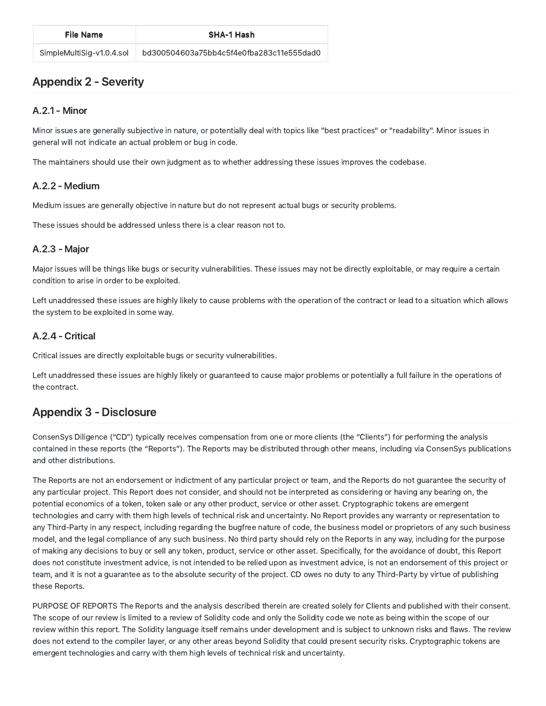## Appendix 2 ‑ Severity

### A.2.1 ‑ Minor

Minor issues are generally subjective in nature, or potentially deal with topics like "best practices" or "readability". Minor issues in general will not indicate an actual problem or bug in code.

The maintainers should use their own judgment as to whether addressing these issues improves the codebase.

## A.2.2 ‑ Medium

Medium issues are generally objective in nature but do not represent actual bugs or security problems.

These issues should be addressed unless there is a clear reason not to.

### A.2.3 ‑ Major

Major issues will be things like bugs or security vulnerabilities. These issues may not be directly exploitable, or may require a certain condition to arise in order to be exploited.

Left unaddressed these issues are highly likely to cause problems with the operation of the contract or lead to a situation which allows the system to be exploited in some way.

### A.2.4 ‑ Critical

Critical issues are directly exploitable bugs or security vulnerabilities.

Left unaddressed these issues are highly likely or guaranteed to cause major problems or potentially a full failure in the operations of the contract.

## Appendix 3 ‑ Disclosure

ConsenSys Diligence ("CD") typically receives compensation from one or more clients (the "Clients") for performing the analysis contained in these reports (the "Reports"). The Reports may be distributed through other means, including via ConsenSys publications and other distributions.

The Reports are not an endorsement or indictment of any particular project or team, and the Reports do not guarantee the security of any particular project. This Report does not consider, and should not be interpreted as considering or having any bearing on, the potential economics of a token, token sale or any other product, service or other asset. Cryptographic tokens are emergent technologies and carry with them high levels of technical risk and uncertainty. No Report provides any warranty or representation to any Third‑Party in any respect, including regarding the bugfree nature of code, the business model or proprietors of any such business model, and the legal compliance of any such business. No third party should rely on the Reports in any way, including for the purpose of making any decisions to buy or sell any token, product, service or other asset. Specifically, for the avoidance of doubt, this Report does not constitute investment advice, is not intended to be relied upon as investment advice, is not an endorsement of this project or team, and it is not a guarantee as to the absolute security of the project. CD owes no duty to any Third-Party by virtue of publishing these Reports.

PURPOSE OF REPORTS The Reports and the analysis described therein are created solely for Clients and published with their consent. The scope of our review is limited to a review of Solidity code and only the Solidity code we note as being within the scope of our review within this report. The Solidity language itself remains under development and is subject to unknown risks and flaws. The review does not extend to the compiler layer, or any other areas beyond Solidity that could present security risks. Cryptographic tokens are emergent technologies and carry with them high levels of technical risk and uncertainty.